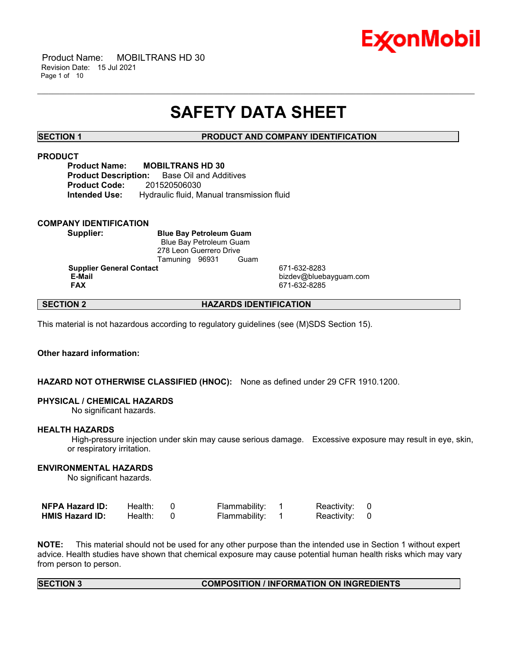

 Product Name: MOBILTRANS HD 30 Revision Date: 15 Jul 2021 Page 1 of 10

# **SAFETY DATA SHEET**

\_\_\_\_\_\_\_\_\_\_\_\_\_\_\_\_\_\_\_\_\_\_\_\_\_\_\_\_\_\_\_\_\_\_\_\_\_\_\_\_\_\_\_\_\_\_\_\_\_\_\_\_\_\_\_\_\_\_\_\_\_\_\_\_\_\_\_\_\_\_\_\_\_\_\_\_\_\_\_\_\_\_\_\_\_\_\_\_\_\_\_\_\_\_\_\_\_\_\_\_\_\_\_\_\_\_\_\_\_\_\_\_\_\_\_\_\_\_

**SECTION 1 PRODUCT AND COMPANY IDENTIFICATION**

## **PRODUCT**

**Product Name: MOBILTRANS HD 30 Product Description:** Base Oil and Additives **Product Code:** 201520506030 **Intended Use:** Hydraulic fluid, Manual transmission fluid

### **COMPANY IDENTIFICATION**

**Supplier: Blue Bay Petroleum Guam** Blue Bay Petroleum Guam 278 Leon Guerrero Drive Tamuning 96931 Guam

**Supplier General Contact** 671-632-8283

**E-Mail** bizdev@bluebayguam.com **FAX** 671-632-8285

# **SECTION 2 HAZARDS IDENTIFICATION**

This material is not hazardous according to regulatory guidelines (see (M)SDS Section 15).

# **Other hazard information:**

# **HAZARD NOT OTHERWISE CLASSIFIED (HNOC):** None as defined under 29 CFR 1910.1200.

### **PHYSICAL / CHEMICAL HAZARDS**

No significant hazards.

### **HEALTH HAZARDS**

High-pressure injection under skin may cause serious damage. Excessive exposure may result in eye, skin, or respiratory irritation.

# **ENVIRONMENTAL HAZARDS**

No significant hazards.

| <b>NFPA Hazard ID:</b> | Health: | Flammability: | Reactivity: 0 |  |
|------------------------|---------|---------------|---------------|--|
| <b>HMIS Hazard ID:</b> | Health: | Flammability: | Reactivity: 0 |  |

**NOTE:** This material should not be used for any other purpose than the intended use in Section 1 without expert advice. Health studies have shown that chemical exposure may cause potential human health risks which may vary from person to person.

### **SECTION 3 COMPOSITION / INFORMATION ON INGREDIENTS**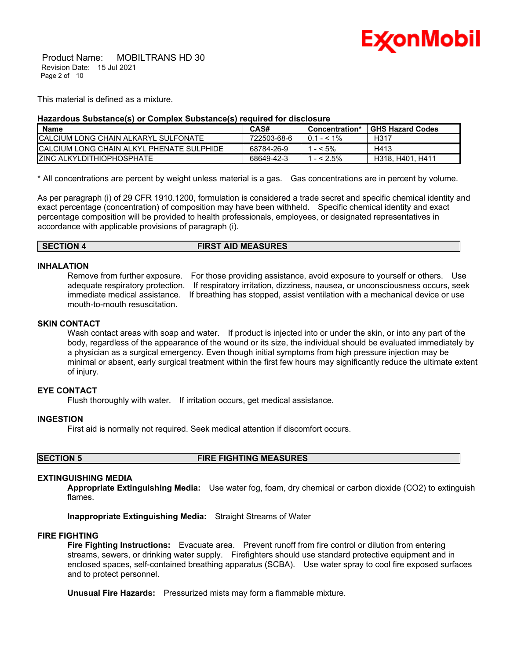

 Product Name: MOBILTRANS HD 30 Revision Date: 15 Jul 2021 Page 2 of 10

This material is defined as a mixture.

### **Hazardous Substance(s) or Complex Substance(s) required for disclosure**

| <b>Name</b>                                | CAS#        | Concentration*       | <b>GHS Hazard Codes</b> |
|--------------------------------------------|-------------|----------------------|-------------------------|
| ICALCIUM LONG CHAIN ALKARYL SULFONATE      | 722503-68-6 | $0.1 - 5.1\%$        | H317                    |
| ICALCIUM LONG CHAIN ALKYL PHENATE SULPHIDE | 68784-26-9  | $- < 5\%$            | H413                    |
| <b>IZINC ALKYLDITHIOPHOSPHATE</b>          | 68649-42-3  | $^{\prime}$ - < 2.5% | H318, H401, H411        |

\_\_\_\_\_\_\_\_\_\_\_\_\_\_\_\_\_\_\_\_\_\_\_\_\_\_\_\_\_\_\_\_\_\_\_\_\_\_\_\_\_\_\_\_\_\_\_\_\_\_\_\_\_\_\_\_\_\_\_\_\_\_\_\_\_\_\_\_\_\_\_\_\_\_\_\_\_\_\_\_\_\_\_\_\_\_\_\_\_\_\_\_\_\_\_\_\_\_\_\_\_\_\_\_\_\_\_\_\_\_\_\_\_\_\_\_\_\_

\* All concentrations are percent by weight unless material is a gas. Gas concentrations are in percent by volume.

As per paragraph (i) of 29 CFR 1910.1200, formulation is considered a trade secret and specific chemical identity and exact percentage (concentration) of composition may have been withheld. Specific chemical identity and exact percentage composition will be provided to health professionals, employees, or designated representatives in accordance with applicable provisions of paragraph (i).

| <b>SECTION 4</b> | <b>FIRST AID MEASURES</b> |
|------------------|---------------------------|
|------------------|---------------------------|

### **INHALATION**

Remove from further exposure. For those providing assistance, avoid exposure to yourself or others. Use adequate respiratory protection. If respiratory irritation, dizziness, nausea, or unconsciousness occurs, seek immediate medical assistance. If breathing has stopped, assist ventilation with a mechanical device or use mouth-to-mouth resuscitation.

# **SKIN CONTACT**

Wash contact areas with soap and water. If product is injected into or under the skin, or into any part of the body, regardless of the appearance of the wound or its size, the individual should be evaluated immediately by a physician as a surgical emergency. Even though initial symptoms from high pressure injection may be minimal or absent, early surgical treatment within the first few hours may significantly reduce the ultimate extent of injury.

# **EYE CONTACT**

Flush thoroughly with water. If irritation occurs, get medical assistance.

### **INGESTION**

First aid is normally not required. Seek medical attention if discomfort occurs.

**SECTION 5 FIRE FIGHTING MEASURES**

### **EXTINGUISHING MEDIA**

**Appropriate Extinguishing Media:** Use water fog, foam, dry chemical or carbon dioxide (CO2) to extinguish flames.

**Inappropriate Extinguishing Media:** Straight Streams of Water

### **FIRE FIGHTING**

**Fire Fighting Instructions:** Evacuate area. Prevent runoff from fire control or dilution from entering streams, sewers, or drinking water supply. Firefighters should use standard protective equipment and in enclosed spaces, self-contained breathing apparatus (SCBA). Use water spray to cool fire exposed surfaces and to protect personnel.

**Unusual Fire Hazards:** Pressurized mists may form a flammable mixture.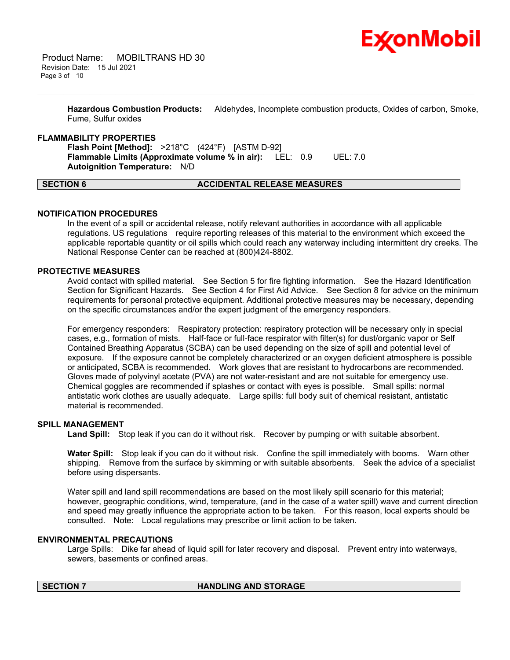

**Hazardous Combustion Products:** Aldehydes, Incomplete combustion products, Oxides of carbon, Smoke, Fume, Sulfur oxides

\_\_\_\_\_\_\_\_\_\_\_\_\_\_\_\_\_\_\_\_\_\_\_\_\_\_\_\_\_\_\_\_\_\_\_\_\_\_\_\_\_\_\_\_\_\_\_\_\_\_\_\_\_\_\_\_\_\_\_\_\_\_\_\_\_\_\_\_\_\_\_\_\_\_\_\_\_\_\_\_\_\_\_\_\_\_\_\_\_\_\_\_\_\_\_\_\_\_\_\_\_\_\_\_\_\_\_\_\_\_\_\_\_\_\_\_\_\_

### **FLAMMABILITY PROPERTIES**

**Flash Point [Method]:** >218°C (424°F) [ASTM D-92] **Flammable Limits (Approximate volume % in air):** LEL: 0.9 UEL: 7.0 **Autoignition Temperature:** N/D

### **SECTION 6 ACCIDENTAL RELEASE MEASURES**

### **NOTIFICATION PROCEDURES**

In the event of a spill or accidental release, notify relevant authorities in accordance with all applicable regulations. US regulations require reporting releases of this material to the environment which exceed the applicable reportable quantity or oil spills which could reach any waterway including intermittent dry creeks. The National Response Center can be reached at (800)424-8802.

# **PROTECTIVE MEASURES**

Avoid contact with spilled material. See Section 5 for fire fighting information. See the Hazard Identification Section for Significant Hazards. See Section 4 for First Aid Advice. See Section 8 for advice on the minimum requirements for personal protective equipment. Additional protective measures may be necessary, depending on the specific circumstances and/or the expert judgment of the emergency responders.

For emergency responders: Respiratory protection: respiratory protection will be necessary only in special cases, e.g., formation of mists. Half-face or full-face respirator with filter(s) for dust/organic vapor or Self Contained Breathing Apparatus (SCBA) can be used depending on the size of spill and potential level of exposure. If the exposure cannot be completely characterized or an oxygen deficient atmosphere is possible or anticipated, SCBA is recommended. Work gloves that are resistant to hydrocarbons are recommended. Gloves made of polyvinyl acetate (PVA) are not water-resistant and are not suitable for emergency use. Chemical goggles are recommended if splashes or contact with eyes is possible. Small spills: normal antistatic work clothes are usually adequate. Large spills: full body suit of chemical resistant, antistatic material is recommended.

### **SPILL MANAGEMENT**

**Land Spill:** Stop leak if you can do it without risk. Recover by pumping or with suitable absorbent.

**Water Spill:** Stop leak if you can do it without risk. Confine the spill immediately with booms. Warn other shipping. Remove from the surface by skimming or with suitable absorbents. Seek the advice of a specialist before using dispersants.

Water spill and land spill recommendations are based on the most likely spill scenario for this material; however, geographic conditions, wind, temperature, (and in the case of a water spill) wave and current direction and speed may greatly influence the appropriate action to be taken. For this reason, local experts should be consulted. Note: Local regulations may prescribe or limit action to be taken.

### **ENVIRONMENTAL PRECAUTIONS**

Large Spills: Dike far ahead of liquid spill for later recovery and disposal. Prevent entry into waterways, sewers, basements or confined areas.

### **SECTION 7 HANDLING AND STORAGE**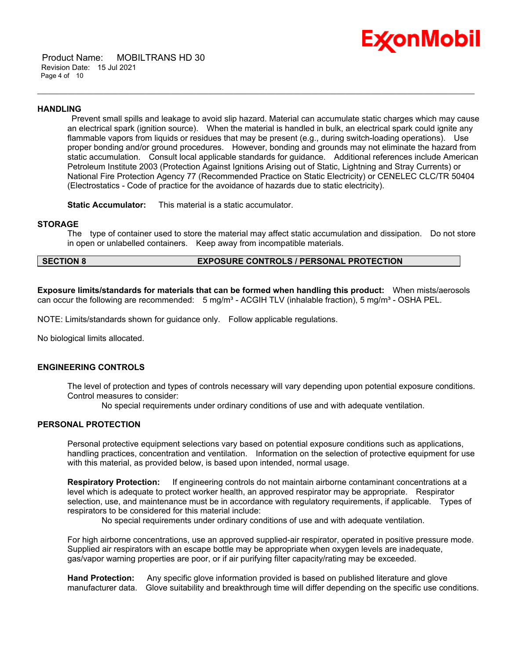

 Product Name: MOBILTRANS HD 30 Revision Date: 15 Jul 2021 Page 4 of 10

### **HANDLING**

Prevent small spills and leakage to avoid slip hazard. Material can accumulate static charges which may cause an electrical spark (ignition source). When the material is handled in bulk, an electrical spark could ignite any flammable vapors from liquids or residues that may be present (e.g., during switch-loading operations). Use proper bonding and/or ground procedures. However, bonding and grounds may not eliminate the hazard from static accumulation. Consult local applicable standards for guidance. Additional references include American Petroleum Institute 2003 (Protection Against Ignitions Arising out of Static, Lightning and Stray Currents) or National Fire Protection Agency 77 (Recommended Practice on Static Electricity) or CENELEC CLC/TR 50404 (Electrostatics - Code of practice for the avoidance of hazards due to static electricity).

\_\_\_\_\_\_\_\_\_\_\_\_\_\_\_\_\_\_\_\_\_\_\_\_\_\_\_\_\_\_\_\_\_\_\_\_\_\_\_\_\_\_\_\_\_\_\_\_\_\_\_\_\_\_\_\_\_\_\_\_\_\_\_\_\_\_\_\_\_\_\_\_\_\_\_\_\_\_\_\_\_\_\_\_\_\_\_\_\_\_\_\_\_\_\_\_\_\_\_\_\_\_\_\_\_\_\_\_\_\_\_\_\_\_\_\_\_\_

**Static Accumulator:** This material is a static accumulator.

### **STORAGE**

The type of container used to store the material may affect static accumulation and dissipation. Do not store in open or unlabelled containers. Keep away from incompatible materials.

# **SECTION 8 EXPOSURE CONTROLS / PERSONAL PROTECTION**

**Exposure limits/standards for materials that can be formed when handling this product:** When mists/aerosols can occur the following are recommended:  $5 \text{ mg/m}^3$  - ACGIH TLV (inhalable fraction),  $5 \text{ mg/m}^3$  - OSHA PEL.

NOTE: Limits/standards shown for guidance only. Follow applicable regulations.

No biological limits allocated.

# **ENGINEERING CONTROLS**

The level of protection and types of controls necessary will vary depending upon potential exposure conditions. Control measures to consider:

No special requirements under ordinary conditions of use and with adequate ventilation.

### **PERSONAL PROTECTION**

Personal protective equipment selections vary based on potential exposure conditions such as applications, handling practices, concentration and ventilation. Information on the selection of protective equipment for use with this material, as provided below, is based upon intended, normal usage.

**Respiratory Protection:** If engineering controls do not maintain airborne contaminant concentrations at a level which is adequate to protect worker health, an approved respirator may be appropriate. Respirator selection, use, and maintenance must be in accordance with regulatory requirements, if applicable. Types of respirators to be considered for this material include:

No special requirements under ordinary conditions of use and with adequate ventilation.

For high airborne concentrations, use an approved supplied-air respirator, operated in positive pressure mode. Supplied air respirators with an escape bottle may be appropriate when oxygen levels are inadequate, gas/vapor warning properties are poor, or if air purifying filter capacity/rating may be exceeded.

**Hand Protection:** Any specific glove information provided is based on published literature and glove manufacturer data. Glove suitability and breakthrough time will differ depending on the specific use conditions.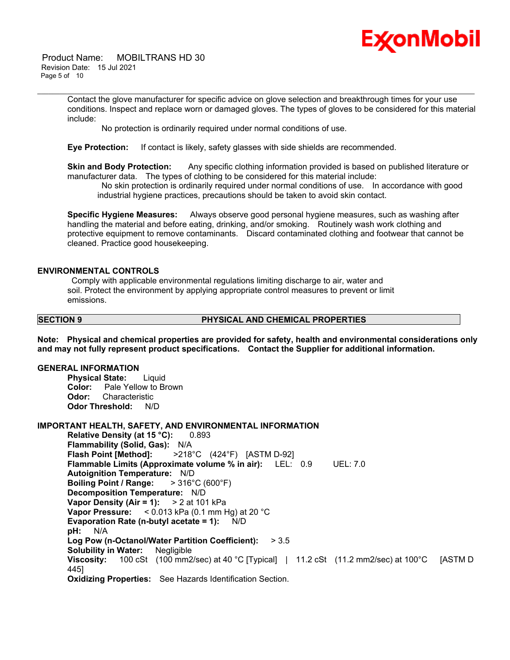

 Product Name: MOBILTRANS HD 30 Revision Date: 15 Jul 2021 Page 5 of 10

> Contact the glove manufacturer for specific advice on glove selection and breakthrough times for your use conditions. Inspect and replace worn or damaged gloves. The types of gloves to be considered for this material include:

\_\_\_\_\_\_\_\_\_\_\_\_\_\_\_\_\_\_\_\_\_\_\_\_\_\_\_\_\_\_\_\_\_\_\_\_\_\_\_\_\_\_\_\_\_\_\_\_\_\_\_\_\_\_\_\_\_\_\_\_\_\_\_\_\_\_\_\_\_\_\_\_\_\_\_\_\_\_\_\_\_\_\_\_\_\_\_\_\_\_\_\_\_\_\_\_\_\_\_\_\_\_\_\_\_\_\_\_\_\_\_\_\_\_\_\_\_\_

No protection is ordinarily required under normal conditions of use.

**Eye Protection:** If contact is likely, safety glasses with side shields are recommended.

**Skin and Body Protection:** Any specific clothing information provided is based on published literature or manufacturer data. The types of clothing to be considered for this material include:

No skin protection is ordinarily required under normal conditions of use. In accordance with good industrial hygiene practices, precautions should be taken to avoid skin contact.

**Specific Hygiene Measures:** Always observe good personal hygiene measures, such as washing after handling the material and before eating, drinking, and/or smoking. Routinely wash work clothing and protective equipment to remove contaminants. Discard contaminated clothing and footwear that cannot be cleaned. Practice good housekeeping.

### **ENVIRONMENTAL CONTROLS**

Comply with applicable environmental regulations limiting discharge to air, water and soil. Protect the environment by applying appropriate control measures to prevent or limit emissions.

### **SECTION 9 PHYSICAL AND CHEMICAL PROPERTIES**

**Note: Physical and chemical properties are provided for safety, health and environmental considerations only and may not fully represent product specifications. Contact the Supplier for additional information.**

### **GENERAL INFORMATION**

**Physical State:** Liquid **Color:** Pale Yellow to Brown **Odor:** Characteristic **Odor Threshold:** N/D

**IMPORTANT HEALTH, SAFETY, AND ENVIRONMENTAL INFORMATION Relative Density (at 15 °C):** 0.893 **Flammability (Solid, Gas):** N/A **Flash Point [Method]:** >218°C (424°F) [ASTM D-92] **Flammable Limits (Approximate volume % in air):** LEL: 0.9 UEL: 7.0 **Autoignition Temperature:** N/D **Boiling Point / Range:** > 316°C (600°F) **Decomposition Temperature:** N/D **Vapor Density (Air = 1):** > 2 at 101 kPa **Vapor Pressure:** < 0.013 kPa (0.1 mm Hg) at 20 °C **Evaporation Rate (n-butyl acetate = 1):** N/D **pH:** N/A **Log Pow (n-Octanol/Water Partition Coefficient):** > 3.5 **Solubility in Water:** Negligible **Viscosity:** 100 cSt (100 mm2/sec) at 40 °C [Typical] | 11.2 cSt (11.2 mm2/sec) at 100 °C [ASTM D 445] **Oxidizing Properties:** See Hazards Identification Section.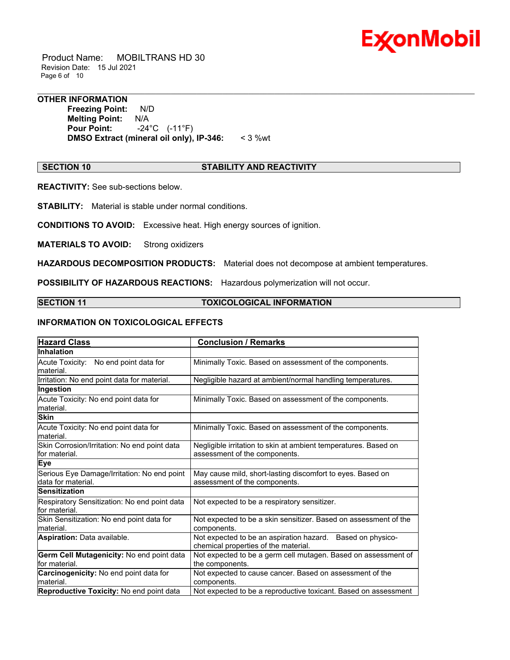

 Product Name: MOBILTRANS HD 30 Revision Date: 15 Jul 2021 Page 6 of 10

# **OTHER INFORMATION**

**Freezing Point:** N/D **Melting Point: N/A<br>Pour Point: -24 Pour Point:** -24°C (-11°F) **DMSO Extract (mineral oil only), IP-346:** < 3 %wt

# **SECTION 10 STABILITY AND REACTIVITY**

\_\_\_\_\_\_\_\_\_\_\_\_\_\_\_\_\_\_\_\_\_\_\_\_\_\_\_\_\_\_\_\_\_\_\_\_\_\_\_\_\_\_\_\_\_\_\_\_\_\_\_\_\_\_\_\_\_\_\_\_\_\_\_\_\_\_\_\_\_\_\_\_\_\_\_\_\_\_\_\_\_\_\_\_\_\_\_\_\_\_\_\_\_\_\_\_\_\_\_\_\_\_\_\_\_\_\_\_\_\_\_\_\_\_\_\_\_\_

**REACTIVITY:** See sub-sections below.

**STABILITY:** Material is stable under normal conditions.

**CONDITIONS TO AVOID:** Excessive heat. High energy sources of ignition.

**MATERIALS TO AVOID:** Strong oxidizers

**HAZARDOUS DECOMPOSITION PRODUCTS:** Material does not decompose at ambient temperatures.

**POSSIBILITY OF HAZARDOUS REACTIONS:** Hazardous polymerization will not occur.

### **SECTION 11 TOXICOLOGICAL INFORMATION**

# **INFORMATION ON TOXICOLOGICAL EFFECTS**

| <b>Hazard Class</b>                                               | <b>Conclusion / Remarks</b>                                                                        |  |
|-------------------------------------------------------------------|----------------------------------------------------------------------------------------------------|--|
| <b>Inhalation</b>                                                 |                                                                                                    |  |
| Acute Toxicity: No end point data for<br>material.                | Minimally Toxic. Based on assessment of the components.                                            |  |
| Irritation: No end point data for material.                       | Negligible hazard at ambient/normal handling temperatures.                                         |  |
| Ingestion                                                         |                                                                                                    |  |
| Acute Toxicity: No end point data for<br>material.                | Minimally Toxic. Based on assessment of the components.                                            |  |
| <b>Skin</b>                                                       |                                                                                                    |  |
| Acute Toxicity: No end point data for<br>material.                | Minimally Toxic. Based on assessment of the components.                                            |  |
| Skin Corrosion/Irritation: No end point data<br>for material.     | Negligible irritation to skin at ambient temperatures. Based on<br>assessment of the components.   |  |
| <b>Eye</b>                                                        |                                                                                                    |  |
| Serious Eye Damage/Irritation: No end point<br>data for material. | May cause mild, short-lasting discomfort to eyes. Based on<br>assessment of the components.        |  |
| <b>Sensitization</b>                                              |                                                                                                    |  |
| Respiratory Sensitization: No end point data<br>for material.     | Not expected to be a respiratory sensitizer.                                                       |  |
| Skin Sensitization: No end point data for<br>material.            | Not expected to be a skin sensitizer. Based on assessment of the<br>components.                    |  |
| <b>Aspiration: Data available.</b>                                | Not expected to be an aspiration hazard. Based on physico-<br>chemical properties of the material. |  |
| Germ Cell Mutagenicity: No end point data                         | Not expected to be a germ cell mutagen. Based on assessment of                                     |  |
| lfor material.                                                    | the components.                                                                                    |  |
| Carcinogenicity: No end point data for<br>material.               | Not expected to cause cancer. Based on assessment of the<br>components.                            |  |
| Reproductive Toxicity: No end point data                          | Not expected to be a reproductive toxicant. Based on assessment                                    |  |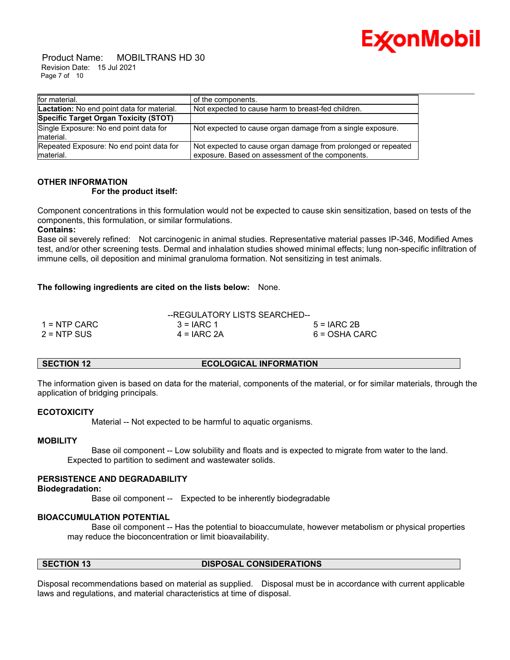

 Product Name: MOBILTRANS HD 30 Revision Date: 15 Jul 2021 Page 7 of 10

| for material.                                          | of the components.                                                                                                |
|--------------------------------------------------------|-------------------------------------------------------------------------------------------------------------------|
| Lactation: No end point data for material.             | Not expected to cause harm to breast-fed children.                                                                |
| Specific Target Organ Toxicity (STOT)                  |                                                                                                                   |
| Single Exposure: No end point data for<br>material.    | Not expected to cause organ damage from a single exposure.                                                        |
| Repeated Exposure: No end point data for<br>Imaterial. | Not expected to cause organ damage from prolonged or repeated<br>exposure. Based on assessment of the components. |

# **OTHER INFORMATION For the product itself:**

Component concentrations in this formulation would not be expected to cause skin sensitization, based on tests of the components, this formulation, or similar formulations.

### **Contains:**

Base oil severely refined: Not carcinogenic in animal studies. Representative material passes IP-346, Modified Ames test, and/or other screening tests. Dermal and inhalation studies showed minimal effects; lung non-specific infiltration of immune cells, oil deposition and minimal granuloma formation. Not sensitizing in test animals.

# **The following ingredients are cited on the lists below:** None.

|               | --REGULATORY LISTS SEARCHED-- |               |
|---------------|-------------------------------|---------------|
| 1 = NTP CARC  | $3 = IARC 1$                  | $5 = IARC2B$  |
| $2 =$ NTP SUS | $4 = IARC 2A$                 | 6 = OSHA CARC |

### **SECTION 12 ECOLOGICAL INFORMATION**

The information given is based on data for the material, components of the material, or for similar materials, through the application of bridging principals.

### **ECOTOXICITY**

Material -- Not expected to be harmful to aquatic organisms.

### **MOBILITY**

 Base oil component -- Low solubility and floats and is expected to migrate from water to the land. Expected to partition to sediment and wastewater solids.

### **PERSISTENCE AND DEGRADABILITY**

### **Biodegradation:**

Base oil component -- Expected to be inherently biodegradable

# **BIOACCUMULATION POTENTIAL**

 Base oil component -- Has the potential to bioaccumulate, however metabolism or physical properties may reduce the bioconcentration or limit bioavailability.

### **SECTION 13 DISPOSAL CONSIDERATIONS**

Disposal recommendations based on material as supplied. Disposal must be in accordance with current applicable laws and regulations, and material characteristics at time of disposal.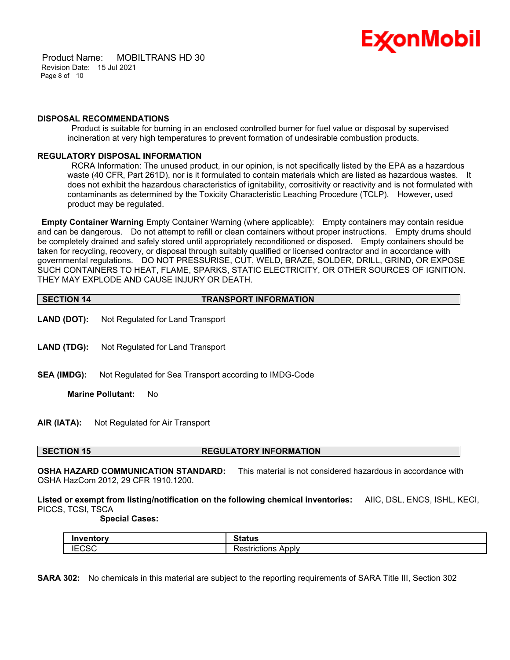

 Product Name: MOBILTRANS HD 30 Revision Date: 15 Jul 2021 Page 8 of 10

### **DISPOSAL RECOMMENDATIONS**

Product is suitable for burning in an enclosed controlled burner for fuel value or disposal by supervised incineration at very high temperatures to prevent formation of undesirable combustion products.

\_\_\_\_\_\_\_\_\_\_\_\_\_\_\_\_\_\_\_\_\_\_\_\_\_\_\_\_\_\_\_\_\_\_\_\_\_\_\_\_\_\_\_\_\_\_\_\_\_\_\_\_\_\_\_\_\_\_\_\_\_\_\_\_\_\_\_\_\_\_\_\_\_\_\_\_\_\_\_\_\_\_\_\_\_\_\_\_\_\_\_\_\_\_\_\_\_\_\_\_\_\_\_\_\_\_\_\_\_\_\_\_\_\_\_\_\_\_

# **REGULATORY DISPOSAL INFORMATION**

RCRA Information: The unused product, in our opinion, is not specifically listed by the EPA as a hazardous waste (40 CFR, Part 261D), nor is it formulated to contain materials which are listed as hazardous wastes. It does not exhibit the hazardous characteristics of ignitability, corrositivity or reactivity and is not formulated with contaminants as determined by the Toxicity Characteristic Leaching Procedure (TCLP). However, used product may be regulated.

**Empty Container Warning** Empty Container Warning (where applicable): Empty containers may contain residue and can be dangerous. Do not attempt to refill or clean containers without proper instructions. Empty drums should be completely drained and safely stored until appropriately reconditioned or disposed. Empty containers should be taken for recycling, recovery, or disposal through suitably qualified or licensed contractor and in accordance with governmental regulations. DO NOT PRESSURISE, CUT, WELD, BRAZE, SOLDER, DRILL, GRIND, OR EXPOSE SUCH CONTAINERS TO HEAT, FLAME, SPARKS, STATIC ELECTRICITY, OR OTHER SOURCES OF IGNITION. THEY MAY EXPLODE AND CAUSE INJURY OR DEATH.

| SECTION 14        | <b>TRANSPORT INFORMATION</b>     |
|-------------------|----------------------------------|
|                   |                                  |
| $I$ AND $I$ DOT). | Not Dogulated for Land Transport |

- **LAND (DOT):** Not Regulated for Land Transport
- **LAND (TDG):** Not Regulated for Land Transport
- **SEA (IMDG):** Not Regulated for Sea Transport according to IMDG-Code

**Marine Pollutant:** No

**AIR (IATA):** Not Regulated for Air Transport

### **SECTION 15 REGULATORY INFORMATION**

**OSHA HAZARD COMMUNICATION STANDARD:** This material is not considered hazardous in accordance with OSHA HazCom 2012, 29 CFR 1910.1200.

**Listed or exempt from listing/notification on the following chemical inventories:** AIIC, DSL, ENCS, ISHL, KECI, PICCS, TCSI, TSCA

 **Special Cases:**

|                   | <b>Status</b>                   |
|-------------------|---------------------------------|
| 10000<br>⊩<br>∪ט∪ | . הר<br>Apply<br>Restrictions / |

**SARA 302:** No chemicals in this material are subject to the reporting requirements of SARA Title III, Section 302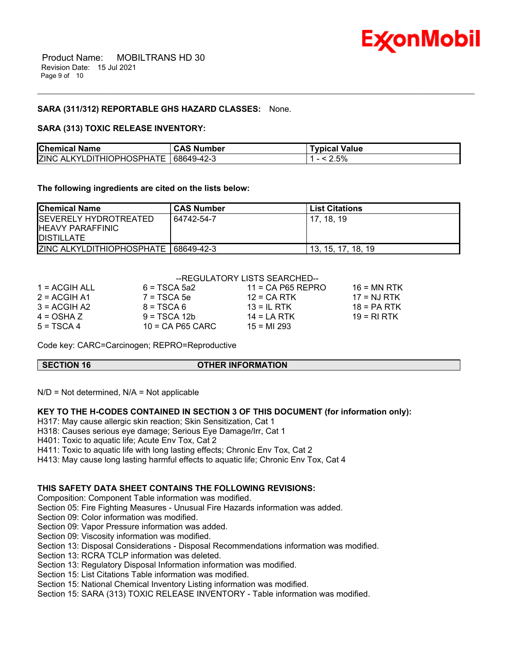

## **SARA (311/312) REPORTABLE GHS HAZARD CLASSES:** None.

### **SARA (313) TOXIC RELEASE INVENTORY:**

| <b>Chemical Name</b>             | <b>CAS Number</b> | Typical Value |
|----------------------------------|-------------------|---------------|
| <b>ZINC ALKYLDITHIOPHOSPHATE</b> | 68649-42-3        | 2.5%          |

\_\_\_\_\_\_\_\_\_\_\_\_\_\_\_\_\_\_\_\_\_\_\_\_\_\_\_\_\_\_\_\_\_\_\_\_\_\_\_\_\_\_\_\_\_\_\_\_\_\_\_\_\_\_\_\_\_\_\_\_\_\_\_\_\_\_\_\_\_\_\_\_\_\_\_\_\_\_\_\_\_\_\_\_\_\_\_\_\_\_\_\_\_\_\_\_\_\_\_\_\_\_\_\_\_\_\_\_\_\_\_\_\_\_\_\_\_\_

**The following ingredients are cited on the lists below:**

| <b>Chemical Name</b>                                                    | <b>CAS Number</b> | <b>List Citations</b> |
|-------------------------------------------------------------------------|-------------------|-----------------------|
| ISEVERELY HYDROTREATED<br><b>HEAVY PARAFFINIC</b><br><b>IDISTILLATE</b> | 64742-54-7        | 17.18.19              |
| ZINC ALKYLDITHIOPHOSPHATE   68649-42-3                                  |                   | 13, 15, 17, 18, 19    |

# --REGULATORY LISTS SEARCHED--

| $11 = CA$ P65 REPRO                | $16$ = MN RTK |
|------------------------------------|---------------|
| $12$ = CA RTK                      | $17 = NJ RTK$ |
| $13 = IL$ RTK                      | $18 = PA RTK$ |
| $14 = I A RTK$                     | 19 = RI RTK   |
| $10 = CA$ P65 CARC<br>$15 = M1293$ |               |
|                                    |               |

Code key: CARC=Carcinogen; REPRO=Reproductive

**SECTION 16 OTHER INFORMATION**

 $N/D$  = Not determined,  $N/A$  = Not applicable

# **KEY TO THE H-CODES CONTAINED IN SECTION 3 OF THIS DOCUMENT (for information only):**

H317: May cause allergic skin reaction; Skin Sensitization, Cat 1

H318: Causes serious eye damage; Serious Eye Damage/Irr, Cat 1

H401: Toxic to aquatic life; Acute Env Tox, Cat 2

H411: Toxic to aquatic life with long lasting effects; Chronic Env Tox, Cat 2

H413: May cause long lasting harmful effects to aquatic life; Chronic Env Tox, Cat 4

# **THIS SAFETY DATA SHEET CONTAINS THE FOLLOWING REVISIONS:**

Composition: Component Table information was modified.

Section 05: Fire Fighting Measures - Unusual Fire Hazards information was added.

Section 09: Color information was modified.

Section 09: Vapor Pressure information was added.

Section 09: Viscosity information was modified.

Section 13: Disposal Considerations - Disposal Recommendations information was modified.

Section 13: RCRA TCLP information was deleted.

Section 13: Regulatory Disposal Information information was modified.

Section 15: List Citations Table information was modified.

Section 15: National Chemical Inventory Listing information was modified.

Section 15: SARA (313) TOXIC RELEASE INVENTORY - Table information was modified.